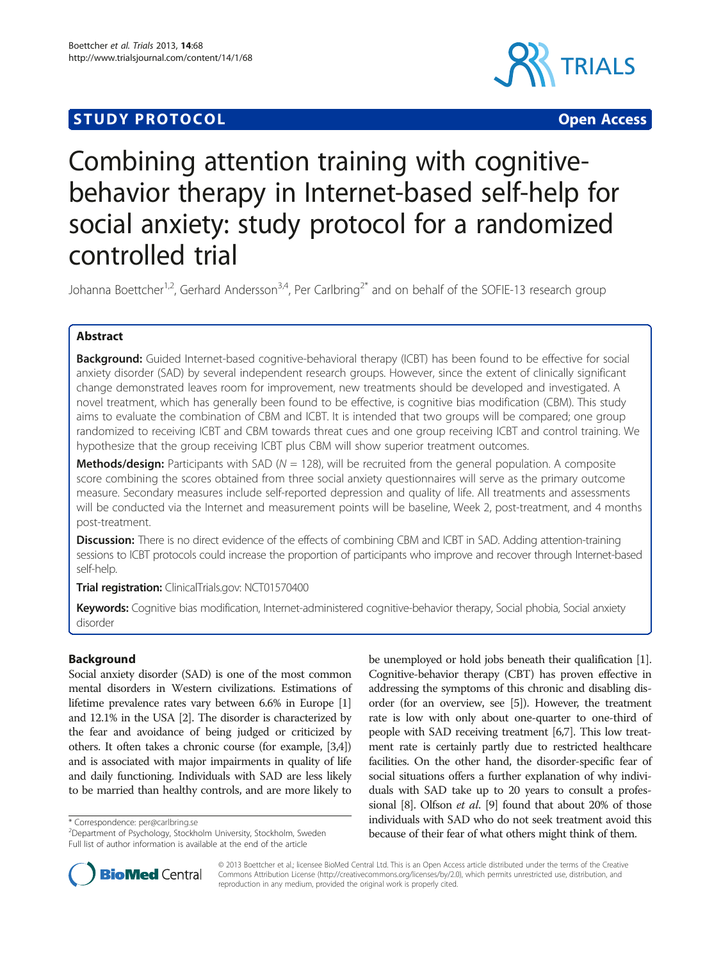# **STUDY PROTOCOL CONSUMING THE CONSUMING OPEN ACCESS**



# Combining attention training with cognitivebehavior therapy in Internet-based self-help for social anxiety: study protocol for a randomized controlled trial

Johanna Boettcher<sup>1,2</sup>, Gerhard Andersson<sup>3,4</sup>, Per Carlbring<sup>2\*</sup> and on behalf of the SOFIE-13 research group

# Abstract

**Background:** Guided Internet-based cognitive-behavioral therapy (ICBT) has been found to be effective for social anxiety disorder (SAD) by several independent research groups. However, since the extent of clinically significant change demonstrated leaves room for improvement, new treatments should be developed and investigated. A novel treatment, which has generally been found to be effective, is cognitive bias modification (CBM). This study aims to evaluate the combination of CBM and ICBT. It is intended that two groups will be compared; one group randomized to receiving ICBT and CBM towards threat cues and one group receiving ICBT and control training. We hypothesize that the group receiving ICBT plus CBM will show superior treatment outcomes.

**Methods/design:** Participants with SAD ( $N = 128$ ), will be recruited from the general population. A composite score combining the scores obtained from three social anxiety questionnaires will serve as the primary outcome measure. Secondary measures include self-reported depression and quality of life. All treatments and assessments will be conducted via the Internet and measurement points will be baseline, Week 2, post-treatment, and 4 months post-treatment.

**Discussion:** There is no direct evidence of the effects of combining CBM and ICBT in SAD. Adding attention-training sessions to ICBT protocols could increase the proportion of participants who improve and recover through Internet-based self-help.

Trial registration: ClinicalTrials.gov: [NCT01570400](http://clinicaltrials.gov/ct2/show/NCT01570400)

Keywords: Cognitive bias modification, Internet-administered cognitive-behavior therapy, Social phobia, Social anxiety disorder

# Background

Social anxiety disorder (SAD) is one of the most common mental disorders in Western civilizations. Estimations of lifetime prevalence rates vary between 6.6% in Europe [[1](#page-5-0)] and 12.1% in the USA [[2](#page-6-0)]. The disorder is characterized by the fear and avoidance of being judged or criticized by others. It often takes a chronic course (for example, [\[3,4](#page-6-0)]) and is associated with major impairments in quality of life and daily functioning. Individuals with SAD are less likely to be married than healthy controls, and are more likely to

\* Correspondence: [per@carlbring.se](mailto:per@carlbring.se) <sup>2</sup>

be unemployed or hold jobs beneath their qualification [[1](#page-5-0)]. Cognitive-behavior therapy (CBT) has proven effective in addressing the symptoms of this chronic and disabling disorder (for an overview, see [[5](#page-6-0)]). However, the treatment rate is low with only about one-quarter to one-third of people with SAD receiving treatment [\[6,7\]](#page-6-0). This low treatment rate is certainly partly due to restricted healthcare facilities. On the other hand, the disorder-specific fear of social situations offers a further explanation of why individuals with SAD take up to 20 years to consult a professional [\[8\]](#page-6-0). Olfson et al. [\[9\]](#page-6-0) found that about 20% of those individuals with SAD who do not seek treatment avoid this because of their fear of what others might think of them.



© 2013 Boettcher et al.; licensee BioMed Central Ltd. This is an Open Access article distributed under the terms of the Creative Commons Attribution License [\(http://creativecommons.org/licenses/by/2.0\)](http://creativecommons.org/licenses/by/2.0), which permits unrestricted use, distribution, and reproduction in any medium, provided the original work is properly cited.

<sup>&</sup>lt;sup>2</sup>Department of Psychology, Stockholm University, Stockholm, Sweden Full list of author information is available at the end of the article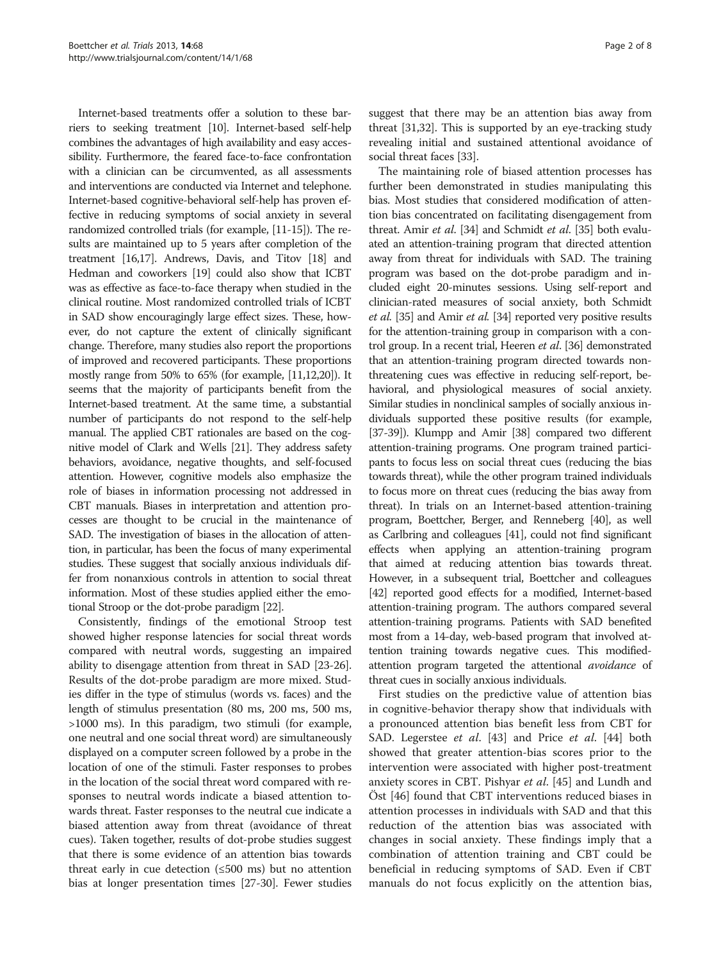Internet-based treatments offer a solution to these barriers to seeking treatment [\[10](#page-6-0)]. Internet-based self-help combines the advantages of high availability and easy accessibility. Furthermore, the feared face-to-face confrontation with a clinician can be circumvented, as all assessments and interventions are conducted via Internet and telephone. Internet-based cognitive-behavioral self-help has proven effective in reducing symptoms of social anxiety in several randomized controlled trials (for example, [[11](#page-6-0)-[15](#page-6-0)]). The results are maintained up to 5 years after completion of the treatment [[16,17\]](#page-6-0). Andrews, Davis, and Titov [[18](#page-6-0)] and Hedman and coworkers [[19](#page-6-0)] could also show that ICBT was as effective as face-to-face therapy when studied in the clinical routine. Most randomized controlled trials of ICBT in SAD show encouragingly large effect sizes. These, however, do not capture the extent of clinically significant change. Therefore, many studies also report the proportions of improved and recovered participants. These proportions mostly range from 50% to 65% (for example, [\[11,12,20](#page-6-0)]). It seems that the majority of participants benefit from the Internet-based treatment. At the same time, a substantial number of participants do not respond to the self-help manual. The applied CBT rationales are based on the cognitive model of Clark and Wells [\[21](#page-6-0)]. They address safety behaviors, avoidance, negative thoughts, and self-focused attention. However, cognitive models also emphasize the role of biases in information processing not addressed in CBT manuals. Biases in interpretation and attention processes are thought to be crucial in the maintenance of SAD. The investigation of biases in the allocation of attention, in particular, has been the focus of many experimental studies. These suggest that socially anxious individuals differ from nonanxious controls in attention to social threat information. Most of these studies applied either the emotional Stroop or the dot-probe paradigm [\[22](#page-6-0)].

Consistently, findings of the emotional Stroop test showed higher response latencies for social threat words compared with neutral words, suggesting an impaired ability to disengage attention from threat in SAD [[23](#page-6-0)-[26](#page-6-0)]. Results of the dot-probe paradigm are more mixed. Studies differ in the type of stimulus (words vs. faces) and the length of stimulus presentation (80 ms, 200 ms, 500 ms, >1000 ms). In this paradigm, two stimuli (for example, one neutral and one social threat word) are simultaneously displayed on a computer screen followed by a probe in the location of one of the stimuli. Faster responses to probes in the location of the social threat word compared with responses to neutral words indicate a biased attention towards threat. Faster responses to the neutral cue indicate a biased attention away from threat (avoidance of threat cues). Taken together, results of dot-probe studies suggest that there is some evidence of an attention bias towards threat early in cue detection  $(\leq 500 \text{ ms})$  but no attention bias at longer presentation times [\[27-30\]](#page-6-0). Fewer studies

suggest that there may be an attention bias away from threat [[31,32](#page-6-0)]. This is supported by an eye-tracking study revealing initial and sustained attentional avoidance of social threat faces [[33](#page-6-0)].

The maintaining role of biased attention processes has further been demonstrated in studies manipulating this bias. Most studies that considered modification of attention bias concentrated on facilitating disengagement from threat. Amir et al. [\[34\]](#page-6-0) and Schmidt et al. [\[35](#page-6-0)] both evaluated an attention-training program that directed attention away from threat for individuals with SAD. The training program was based on the dot-probe paradigm and included eight 20-minutes sessions. Using self-report and clinician-rated measures of social anxiety, both Schmidt et al. [[35](#page-6-0)] and Amir et al. [\[34\]](#page-6-0) reported very positive results for the attention-training group in comparison with a control group. In a recent trial, Heeren et al. [[36\]](#page-6-0) demonstrated that an attention-training program directed towards nonthreatening cues was effective in reducing self-report, behavioral, and physiological measures of social anxiety. Similar studies in nonclinical samples of socially anxious individuals supported these positive results (for example, [[37](#page-6-0)-[39\]](#page-6-0)). Klumpp and Amir [\[38](#page-6-0)] compared two different attention-training programs. One program trained participants to focus less on social threat cues (reducing the bias towards threat), while the other program trained individuals to focus more on threat cues (reducing the bias away from threat). In trials on an Internet-based attention-training program, Boettcher, Berger, and Renneberg [\[40\]](#page-6-0), as well as Carlbring and colleagues [\[41\]](#page-6-0), could not find significant effects when applying an attention-training program that aimed at reducing attention bias towards threat. However, in a subsequent trial, Boettcher and colleagues [[42](#page-6-0)] reported good effects for a modified, Internet-based attention-training program. The authors compared several attention-training programs. Patients with SAD benefited most from a 14-day, web-based program that involved attention training towards negative cues. This modifiedattention program targeted the attentional avoidance of threat cues in socially anxious individuals.

First studies on the predictive value of attention bias in cognitive-behavior therapy show that individuals with a pronounced attention bias benefit less from CBT for SAD. Legerstee et al. [\[43\]](#page-6-0) and Price et al. [[44](#page-6-0)] both showed that greater attention-bias scores prior to the intervention were associated with higher post-treatment anxiety scores in CBT. Pishyar et al. [[45\]](#page-6-0) and Lundh and Öst [[46\]](#page-6-0) found that CBT interventions reduced biases in attention processes in individuals with SAD and that this reduction of the attention bias was associated with changes in social anxiety. These findings imply that a combination of attention training and CBT could be beneficial in reducing symptoms of SAD. Even if CBT manuals do not focus explicitly on the attention bias,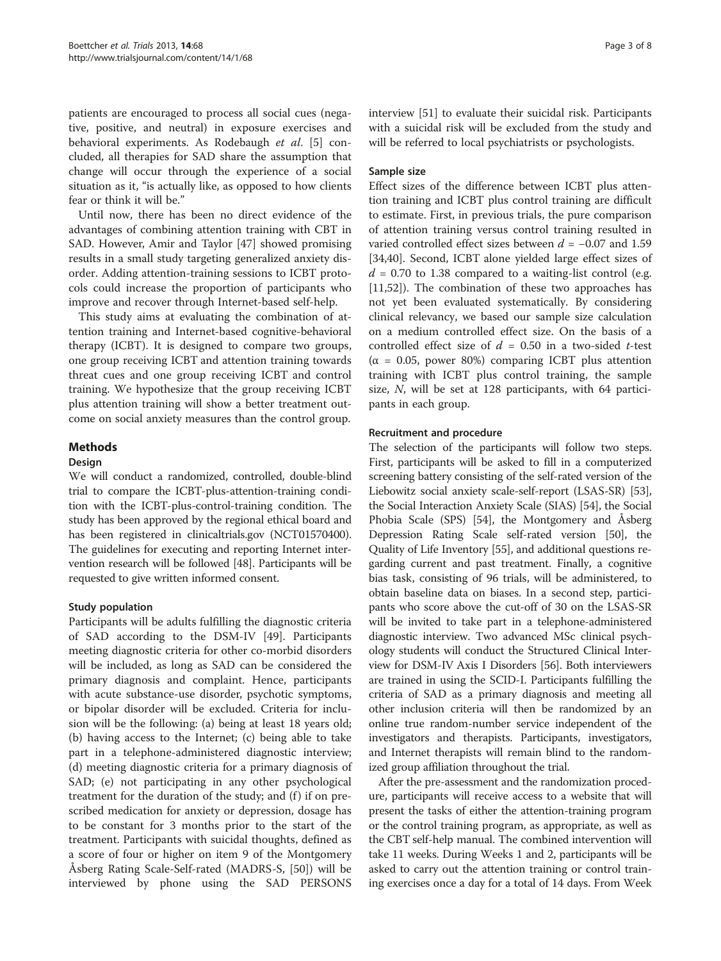patients are encouraged to process all social cues (negative, positive, and neutral) in exposure exercises and behavioral experiments. As Rodebaugh et al. [[5\]](#page-6-0) concluded, all therapies for SAD share the assumption that change will occur through the experience of a social situation as it, "is actually like, as opposed to how clients fear or think it will be."

Until now, there has been no direct evidence of the advantages of combining attention training with CBT in SAD. However, Amir and Taylor [[47\]](#page-6-0) showed promising results in a small study targeting generalized anxiety disorder. Adding attention-training sessions to ICBT protocols could increase the proportion of participants who improve and recover through Internet-based self-help.

This study aims at evaluating the combination of attention training and Internet-based cognitive-behavioral therapy (ICBT). It is designed to compare two groups, one group receiving ICBT and attention training towards threat cues and one group receiving ICBT and control training. We hypothesize that the group receiving ICBT plus attention training will show a better treatment outcome on social anxiety measures than the control group.

# Methods

### Design

We will conduct a randomized, controlled, double-blind trial to compare the ICBT-plus-attention-training condition with the ICBT-plus-control-training condition. The study has been approved by the regional ethical board and has been registered in clinicaltrials.gov [\(NCT01570400](http://clinicaltrials.gov/ct2/show/NCT01570400)). The guidelines for executing and reporting Internet intervention research will be followed [[48](#page-6-0)]. Participants will be requested to give written informed consent.

### Study population

Participants will be adults fulfilling the diagnostic criteria of SAD according to the DSM-IV [[49\]](#page-7-0). Participants meeting diagnostic criteria for other co-morbid disorders will be included, as long as SAD can be considered the primary diagnosis and complaint. Hence, participants with acute substance-use disorder, psychotic symptoms, or bipolar disorder will be excluded. Criteria for inclusion will be the following: (a) being at least 18 years old; (b) having access to the Internet; (c) being able to take part in a telephone-administered diagnostic interview; (d) meeting diagnostic criteria for a primary diagnosis of SAD; (e) not participating in any other psychological treatment for the duration of the study; and  $(f)$  if on prescribed medication for anxiety or depression, dosage has to be constant for 3 months prior to the start of the treatment. Participants with suicidal thoughts, defined as a score of four or higher on item 9 of the Montgomery Åsberg Rating Scale-Self-rated (MADRS-S, [[50](#page-7-0)]) will be interviewed by phone using the SAD PERSONS interview [[51\]](#page-7-0) to evaluate their suicidal risk. Participants with a suicidal risk will be excluded from the study and will be referred to local psychiatrists or psychologists.

# Sample size

Effect sizes of the difference between ICBT plus attention training and ICBT plus control training are difficult to estimate. First, in previous trials, the pure comparison of attention training versus control training resulted in varied controlled effect sizes between  $d = -0.07$  and 1.59 [[34,40\]](#page-6-0). Second, ICBT alone yielded large effect sizes of  $d = 0.70$  to 1.38 compared to a waiting-list control (e.g. [[11,](#page-6-0)[52\]](#page-7-0)). The combination of these two approaches has not yet been evaluated systematically. By considering clinical relevancy, we based our sample size calculation on a medium controlled effect size. On the basis of a controlled effect size of  $d = 0.50$  in a two-sided t-test (α = 0.05, power 80%) comparing ICBT plus attention training with ICBT plus control training, the sample size, N, will be set at 128 participants, with 64 participants in each group.

# Recruitment and procedure

The selection of the participants will follow two steps. First, participants will be asked to fill in a computerized screening battery consisting of the self-rated version of the Liebowitz social anxiety scale-self-report (LSAS-SR) [[53](#page-7-0)], the Social Interaction Anxiety Scale (SIAS) [\[54\]](#page-7-0), the Social Phobia Scale (SPS) [[54](#page-7-0)], the Montgomery and Åsberg Depression Rating Scale self-rated version [\[50\]](#page-7-0), the Quality of Life Inventory [\[55\]](#page-7-0), and additional questions regarding current and past treatment. Finally, a cognitive bias task, consisting of 96 trials, will be administered, to obtain baseline data on biases. In a second step, participants who score above the cut-off of 30 on the LSAS-SR will be invited to take part in a telephone-administered diagnostic interview. Two advanced MSc clinical psychology students will conduct the Structured Clinical Interview for DSM-IV Axis I Disorders [[56](#page-7-0)]. Both interviewers are trained in using the SCID-I. Participants fulfilling the criteria of SAD as a primary diagnosis and meeting all other inclusion criteria will then be randomized by an online true random-number service independent of the investigators and therapists. Participants, investigators, and Internet therapists will remain blind to the randomized group affiliation throughout the trial.

After the pre-assessment and the randomization procedure, participants will receive access to a website that will present the tasks of either the attention-training program or the control training program, as appropriate, as well as the CBT self-help manual. The combined intervention will take 11 weeks. During Weeks 1 and 2, participants will be asked to carry out the attention training or control training exercises once a day for a total of 14 days. From Week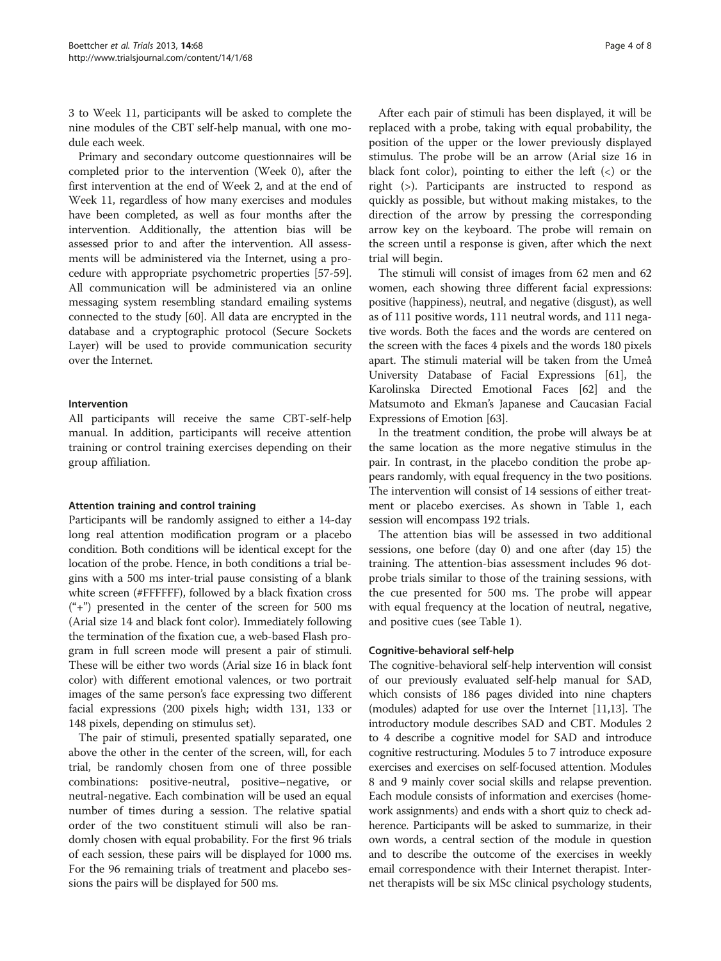3 to Week 11, participants will be asked to complete the nine modules of the CBT self-help manual, with one module each week.

Primary and secondary outcome questionnaires will be completed prior to the intervention (Week 0), after the first intervention at the end of Week 2, and at the end of Week 11, regardless of how many exercises and modules have been completed, as well as four months after the intervention. Additionally, the attention bias will be assessed prior to and after the intervention. All assessments will be administered via the Internet, using a procedure with appropriate psychometric properties [[57](#page-7-0)-[59](#page-7-0)]. All communication will be administered via an online messaging system resembling standard emailing systems connected to the study [[60](#page-7-0)]. All data are encrypted in the database and a cryptographic protocol (Secure Sockets Layer) will be used to provide communication security over the Internet.

# Intervention

All participants will receive the same CBT-self-help manual. In addition, participants will receive attention training or control training exercises depending on their group affiliation.

### Attention training and control training

Participants will be randomly assigned to either a 14-day long real attention modification program or a placebo condition. Both conditions will be identical except for the location of the probe. Hence, in both conditions a trial begins with a 500 ms inter-trial pause consisting of a blank white screen (#FFFFFF), followed by a black fixation cross  $($ "+") presented in the center of the screen for 500 ms (Arial size 14 and black font color). Immediately following the termination of the fixation cue, a web-based Flash program in full screen mode will present a pair of stimuli. These will be either two words (Arial size 16 in black font color) with different emotional valences, or two portrait images of the same person's face expressing two different facial expressions (200 pixels high; width 131, 133 or 148 pixels, depending on stimulus set).

The pair of stimuli, presented spatially separated, one above the other in the center of the screen, will, for each trial, be randomly chosen from one of three possible combinations: positive-neutral, positive–negative, or neutral-negative. Each combination will be used an equal number of times during a session. The relative spatial order of the two constituent stimuli will also be randomly chosen with equal probability. For the first 96 trials of each session, these pairs will be displayed for 1000 ms. For the 96 remaining trials of treatment and placebo sessions the pairs will be displayed for 500 ms.

After each pair of stimuli has been displayed, it will be replaced with a probe, taking with equal probability, the position of the upper or the lower previously displayed stimulus. The probe will be an arrow (Arial size 16 in black font color), pointing to either the left  $(\le)$  or the right (>). Participants are instructed to respond as quickly as possible, but without making mistakes, to the direction of the arrow by pressing the corresponding arrow key on the keyboard. The probe will remain on the screen until a response is given, after which the next trial will begin.

The stimuli will consist of images from 62 men and 62 women, each showing three different facial expressions: positive (happiness), neutral, and negative (disgust), as well as of 111 positive words, 111 neutral words, and 111 negative words. Both the faces and the words are centered on the screen with the faces 4 pixels and the words 180 pixels apart. The stimuli material will be taken from the Umeå University Database of Facial Expressions [\[61\]](#page-7-0), the Karolinska Directed Emotional Faces [\[62\]](#page-7-0) and the Matsumoto and Ekman's Japanese and Caucasian Facial Expressions of Emotion [[63](#page-7-0)].

In the treatment condition, the probe will always be at the same location as the more negative stimulus in the pair. In contrast, in the placebo condition the probe appears randomly, with equal frequency in the two positions. The intervention will consist of 14 sessions of either treatment or placebo exercises. As shown in Table [1](#page-4-0), each session will encompass 192 trials.

The attention bias will be assessed in two additional sessions, one before (day 0) and one after (day 15) the training. The attention-bias assessment includes 96 dotprobe trials similar to those of the training sessions, with the cue presented for 500 ms. The probe will appear with equal frequency at the location of neutral, negative, and positive cues (see Table [1\)](#page-4-0).

### Cognitive-behavioral self-help

The cognitive-behavioral self-help intervention will consist of our previously evaluated self-help manual for SAD, which consists of 186 pages divided into nine chapters (modules) adapted for use over the Internet [[11,13\]](#page-6-0). The introductory module describes SAD and CBT. Modules 2 to 4 describe a cognitive model for SAD and introduce cognitive restructuring. Modules 5 to 7 introduce exposure exercises and exercises on self-focused attention. Modules 8 and 9 mainly cover social skills and relapse prevention. Each module consists of information and exercises (homework assignments) and ends with a short quiz to check adherence. Participants will be asked to summarize, in their own words, a central section of the module in question and to describe the outcome of the exercises in weekly email correspondence with their Internet therapist. Internet therapists will be six MSc clinical psychology students,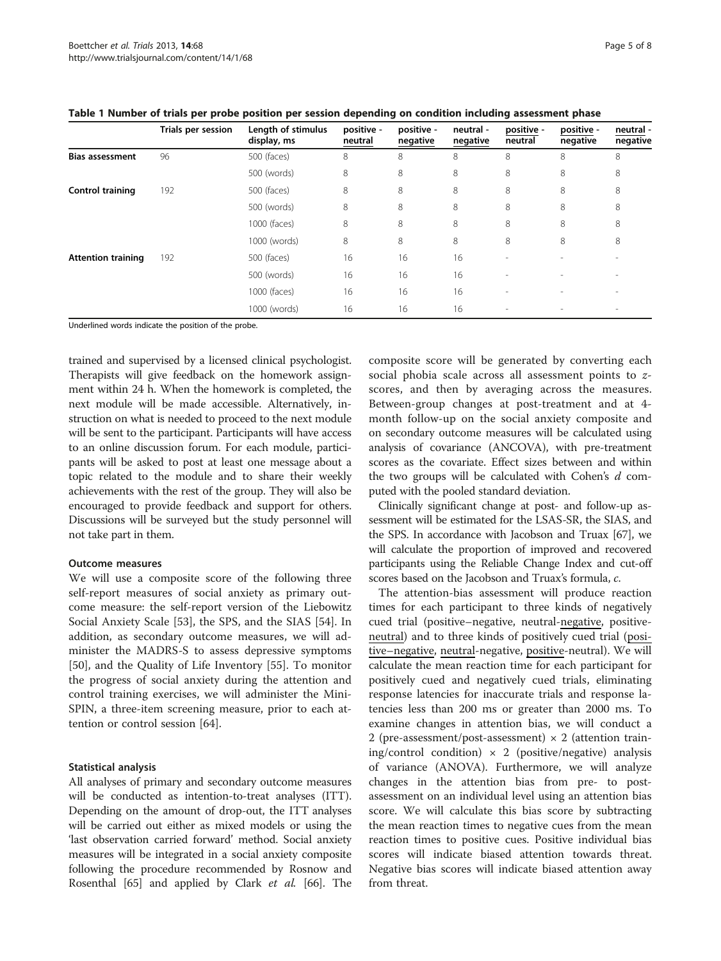|                           | Trials per session | Length of stimulus<br>display, ms | positive -<br>neutral | positive -<br>negative | neutral -<br>negative | positive -<br>neutral    | positive -<br>negative | neutral -<br>negative |
|---------------------------|--------------------|-----------------------------------|-----------------------|------------------------|-----------------------|--------------------------|------------------------|-----------------------|
| <b>Bias assessment</b>    | 96                 | 500 (faces)                       | 8                     | 8                      | 8                     | 8                        | 8                      | 8                     |
|                           |                    | 500 (words)                       | 8                     | 8                      | 8                     | 8                        | 8                      | 8                     |
| Control training          | 192                | 500 (faces)                       | 8                     | 8                      | 8                     | 8                        | 8                      | 8                     |
|                           |                    | 500 (words)                       | 8                     | 8                      | 8                     | 8                        | 8                      | 8                     |
|                           |                    | 1000 (faces)                      | 8                     | 8                      | 8                     | 8                        | 8                      | 8                     |
|                           |                    | 1000 (words)                      | 8                     | 8                      | 8                     | 8                        | 8                      | 8                     |
| <b>Attention training</b> | 192                | 500 (faces)                       | 16                    | 16                     | 16                    | $\sim$                   |                        |                       |
|                           |                    | 500 (words)                       | 16                    | 16                     | 16                    | ٠                        |                        |                       |
|                           |                    | 1000 (faces)                      | 16                    | 16                     | 16                    | $\overline{\phantom{a}}$ |                        |                       |
|                           |                    | 1000 (words)                      | 16                    | 16                     | 16                    | $\overline{\phantom{a}}$ |                        |                       |

<span id="page-4-0"></span>

Underlined words indicate the position of the probe.

trained and supervised by a licensed clinical psychologist. Therapists will give feedback on the homework assignment within 24 h. When the homework is completed, the next module will be made accessible. Alternatively, instruction on what is needed to proceed to the next module will be sent to the participant. Participants will have access to an online discussion forum. For each module, participants will be asked to post at least one message about a topic related to the module and to share their weekly achievements with the rest of the group. They will also be encouraged to provide feedback and support for others. Discussions will be surveyed but the study personnel will not take part in them.

### Outcome measures

We will use a composite score of the following three self-report measures of social anxiety as primary outcome measure: the self-report version of the Liebowitz Social Anxiety Scale [\[53](#page-7-0)], the SPS, and the SIAS [\[54](#page-7-0)]. In addition, as secondary outcome measures, we will administer the MADRS-S to assess depressive symptoms [[50\]](#page-7-0), and the Quality of Life Inventory [\[55](#page-7-0)]. To monitor the progress of social anxiety during the attention and control training exercises, we will administer the Mini-SPIN, a three-item screening measure, prior to each attention or control session [[64\]](#page-7-0).

### Statistical analysis

All analyses of primary and secondary outcome measures will be conducted as intention-to-treat analyses (ITT). Depending on the amount of drop-out, the ITT analyses will be carried out either as mixed models or using the 'last observation carried forward' method. Social anxiety measures will be integrated in a social anxiety composite following the procedure recommended by Rosnow and Rosenthal [\[65\]](#page-7-0) and applied by Clark et al. [\[66\]](#page-7-0). The composite score will be generated by converting each social phobia scale across all assessment points to zscores, and then by averaging across the measures. Between-group changes at post-treatment and at 4 month follow-up on the social anxiety composite and on secondary outcome measures will be calculated using analysis of covariance (ANCOVA), with pre-treatment scores as the covariate. Effect sizes between and within the two groups will be calculated with Cohen's  $d$  computed with the pooled standard deviation.

Clinically significant change at post- and follow-up assessment will be estimated for the LSAS-SR, the SIAS, and the SPS. In accordance with Jacobson and Truax [\[67\]](#page-7-0), we will calculate the proportion of improved and recovered participants using the Reliable Change Index and cut-off scores based on the Jacobson and Truax's formula, c.

The attention-bias assessment will produce reaction times for each participant to three kinds of negatively cued trial (positive–negative, neutral-negative, positiveneutral) and to three kinds of positively cued trial (positive–negative, neutral-negative, positive-neutral). We will calculate the mean reaction time for each participant for positively cued and negatively cued trials, eliminating response latencies for inaccurate trials and response latencies less than 200 ms or greater than 2000 ms. To examine changes in attention bias, we will conduct a 2 (pre-assessment/post-assessment)  $\times$  2 (attention training/control condition)  $\times$  2 (positive/negative) analysis of variance (ANOVA). Furthermore, we will analyze changes in the attention bias from pre- to postassessment on an individual level using an attention bias score. We will calculate this bias score by subtracting the mean reaction times to negative cues from the mean reaction times to positive cues. Positive individual bias scores will indicate biased attention towards threat. Negative bias scores will indicate biased attention away from threat.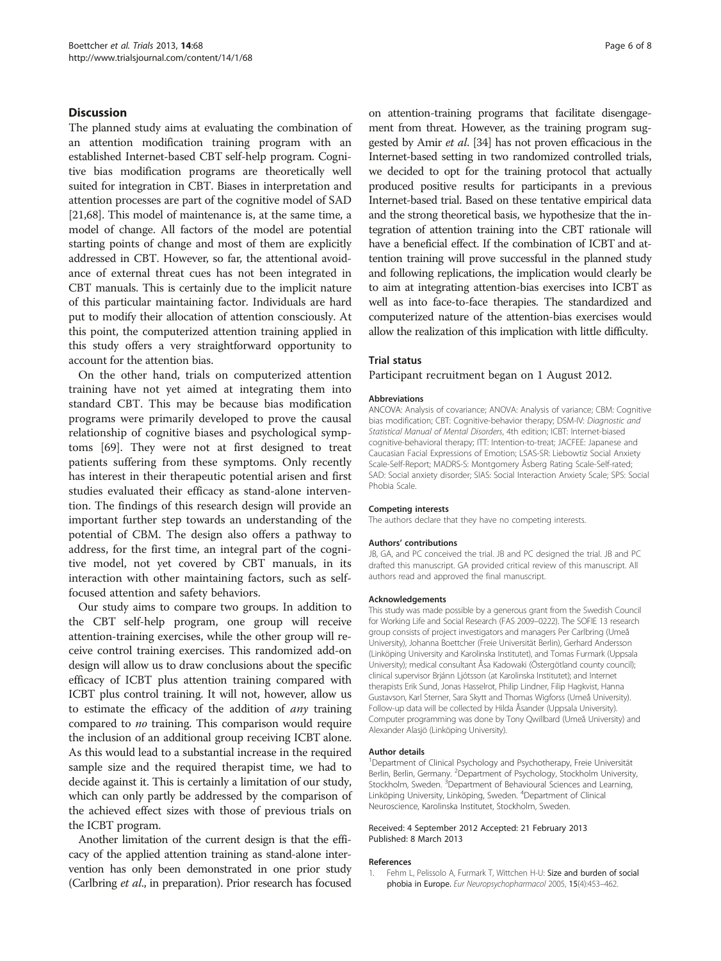# <span id="page-5-0"></span>Discussion

The planned study aims at evaluating the combination of an attention modification training program with an established Internet-based CBT self-help program. Cognitive bias modification programs are theoretically well suited for integration in CBT. Biases in interpretation and attention processes are part of the cognitive model of SAD [[21](#page-6-0)[,68](#page-7-0)]. This model of maintenance is, at the same time, a model of change. All factors of the model are potential starting points of change and most of them are explicitly addressed in CBT. However, so far, the attentional avoidance of external threat cues has not been integrated in CBT manuals. This is certainly due to the implicit nature of this particular maintaining factor. Individuals are hard put to modify their allocation of attention consciously. At this point, the computerized attention training applied in this study offers a very straightforward opportunity to account for the attention bias.

On the other hand, trials on computerized attention training have not yet aimed at integrating them into standard CBT. This may be because bias modification programs were primarily developed to prove the causal relationship of cognitive biases and psychological symptoms [\[69](#page-7-0)]. They were not at first designed to treat patients suffering from these symptoms. Only recently has interest in their therapeutic potential arisen and first studies evaluated their efficacy as stand-alone intervention. The findings of this research design will provide an important further step towards an understanding of the potential of CBM. The design also offers a pathway to address, for the first time, an integral part of the cognitive model, not yet covered by CBT manuals, in its interaction with other maintaining factors, such as selffocused attention and safety behaviors.

Our study aims to compare two groups. In addition to the CBT self-help program, one group will receive attention-training exercises, while the other group will receive control training exercises. This randomized add-on design will allow us to draw conclusions about the specific efficacy of ICBT plus attention training compared with ICBT plus control training. It will not, however, allow us to estimate the efficacy of the addition of any training compared to no training. This comparison would require the inclusion of an additional group receiving ICBT alone. As this would lead to a substantial increase in the required sample size and the required therapist time, we had to decide against it. This is certainly a limitation of our study, which can only partly be addressed by the comparison of the achieved effect sizes with those of previous trials on the ICBT program.

Another limitation of the current design is that the efficacy of the applied attention training as stand-alone intervention has only been demonstrated in one prior study (Carlbring et al., in preparation). Prior research has focused on attention-training programs that facilitate disengagement from threat. However, as the training program suggested by Amir et al. [[34](#page-6-0)] has not proven efficacious in the Internet-based setting in two randomized controlled trials, we decided to opt for the training protocol that actually produced positive results for participants in a previous Internet-based trial. Based on these tentative empirical data and the strong theoretical basis, we hypothesize that the integration of attention training into the CBT rationale will have a beneficial effect. If the combination of ICBT and attention training will prove successful in the planned study and following replications, the implication would clearly be to aim at integrating attention-bias exercises into ICBT as well as into face-to-face therapies. The standardized and computerized nature of the attention-bias exercises would allow the realization of this implication with little difficulty.

#### Trial status

#### Participant recruitment began on 1 August 2012.

#### Abbreviations

ANCOVA: Analysis of covariance; ANOVA: Analysis of variance; CBM: Cognitive bias modification; CBT: Cognitive-behavior therapy; DSM-IV: Diagnostic and Statistical Manual of Mental Disorders, 4th edition; ICBT: Internet-biased cognitive-behavioral therapy; ITT: Intention-to-treat; JACFEE: Japanese and Caucasian Facial Expressions of Emotion; LSAS-SR: Liebowtiz Social Anxiety Scale-Self-Report; MADRS-S: Montgomery Åsberg Rating Scale-Self-rated; SAD: Social anxiety disorder; SIAS: Social Interaction Anxiety Scale; SPS: Social Phobia Scale.

#### Competing interests

The authors declare that they have no competing interests.

#### Authors' contributions

JB, GA, and PC conceived the trial. JB and PC designed the trial. JB and PC drafted this manuscript. GA provided critical review of this manuscript. All authors read and approved the final manuscript.

#### Acknowledgements

This study was made possible by a generous grant from the Swedish Council for Working Life and Social Research (FAS 2009–0222). The SOFIE 13 research group consists of project investigators and managers Per Carlbring (Umeå University), Johanna Boettcher (Freie Universität Berlin), Gerhard Andersson (Linköping University and Karolinska Institutet), and Tomas Furmark (Uppsala University); medical consultant Åsa Kadowaki (Östergötland county council); clinical supervisor Brjánn Ljótsson (at Karolinska Institutet); and Internet therapists Erik Sund, Jonas Hasselrot, Philip Lindner, Filip Hagkvist, Hanna Gustavson, Karl Sterner, Sara Skytt and Thomas Wigforss (Umeå University). Follow-up data will be collected by Hilda Åsander (Uppsala University). Computer programming was done by Tony Qwillbard (Umeå University) and Alexander Alasjö (Linköping University).

#### Author details

<sup>1</sup>Department of Clinical Psychology and Psychotherapy, Freie Universität Berlin, Berlin, Germany. <sup>2</sup> Department of Psychology, Stockholm University, Stockholm, Sweden. <sup>3</sup>Department of Behavioural Sciences and Learning, Linköping University, Linköping, Sweden. <sup>4</sup>Department of Clinical Neuroscience, Karolinska Institutet, Stockholm, Sweden.

#### Received: 4 September 2012 Accepted: 21 February 2013 Published: 8 March 2013

#### References

1. Fehm L, Pelissolo A, Furmark T, Wittchen H-U: Size and burden of social phobia in Europe. Eur Neuropsychopharmacol 2005, 15(4):453–462.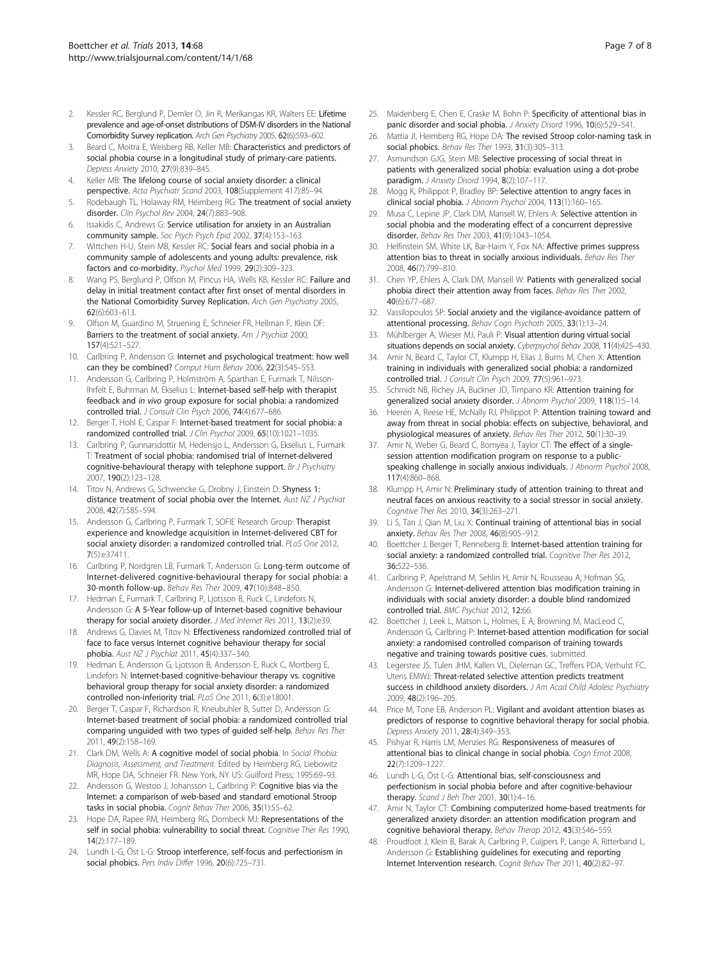- <span id="page-6-0"></span>2. Kessler RC, Berglund P, Demler O, Jin R, Merikangas KR, Walters EE: Lifetime prevalence and age-of-onset distributions of DSM-IV disorders in the National Comorbidity Survey replication. Arch Gen Psychiatry 2005, 62(6):593–602.
- Beard C, Moitra E, Weisberg RB, Keller MB: Characteristics and predictors of social phobia course in a longitudinal study of primary-care patients. Depress Anxiety 2010, 27(9):839–845.
- 4. Keller MB: The lifelong course of social anxiety disorder: a clinical perspective. Acta Psychiatr Scand 2003, 108(Supplement 417):85–94.
- 5. Rodebaugh TL, Holaway RM, Heimberg RG: The treatment of social anxiety disorder. Clin Psychol Rev 2004, 24(7):883–908.
- 6. Issakidis C, Andrews G: Service utilisation for anxiety in an Australian community sample. Soc Psych Psych Epid 2002, 37(4):153–163.
- 7. Wittchen H-U, Stein MB, Kessler RC: Social fears and social phobia in a community sample of adolescents and young adults: prevalence, risk factors and co-morbidity. Psychol Med 1999, 29(2):309–323.
- 8. Wang PS, Berglund P, Olfson M, Pincus HA, Wells KB, Kessler RC: Failure and delay in initial treatment contact after first onset of mental disorders in the National Comorbidity Survey Replication. Arch Gen Psychiatry 2005, 62(6):603–613.
- 9. Olfson M, Guardino M, Struening E, Schneier FR, Hellman F, Klein DF: Barriers to the treatment of social anxiety. Am J Psychiat 2000, 157(4):521–527.
- 10. Carlbring P, Andersson G: Internet and psychological treatment: how well can they be combined? Comput Hum Behav 2006, 22(3):545–553.
- 11. Andersson G, Carlbring P, Holmström A, Sparthan E, Furmark T, Nilsson-Ihrfelt E, Buhrman M, Ekselius L: Internet-based self-help with therapist feedback and in vivo group exposure for social phobia: a randomized controlled trial. J Consult Clin Psych 2006, 74(4):677–686.
- 12. Berger T, Hohl E, Caspar F: Internet-based treatment for social phobia: a randomized controlled trial. J Clin Psychol 2009, 65(10):1021–1035.
- 13. Carlbring P, Gunnarsdottir M, Hedensjo L, Andersson G, Ekselius L, Furmark T: Treatment of social phobia: randomised trial of Internet-delivered cognitive-behavioural therapy with telephone support. Br J Psychiatry 2007, 190(2):123–128.
- 14. Titov N, Andrews G, Schwencke G, Drobny J, Einstein D: Shyness 1: distance treatment of social phobia over the Internet. Aust NZ J Psychiat 2008, 42(7):585–594.
- 15. Andersson G, Carlbring P, Furmark T, SOFIE Research Group: Therapist experience and knowledge acquisition in Internet-delivered CBT for social anxiety disorder: a randomized controlled trial. PLoS One 2012, 7(5):e37411.
- 16. Carlbring P, Nordgren LB, Furmark T, Andersson G: Long-term outcome of Internet-delivered cognitive-behavioural therapy for social phobia: a 30-month follow-up. Behav Res Ther 2009, 47(10):848–850.
- 17. Hedman E, Furmark T, Carlbring P, Ljotsson B, Ruck C, Lindefors N, Andersson G: A 5-Year follow-up of Internet-based cognitive behaviour therapy for social anxiety disorder. J Med Internet Res 2011, 13(2):e39.
- 18. Andrews G, Davies M, Titov N: Effectiveness randomized controlled trial of face to face versus Internet cognitive behaviour therapy for social phobia. Aust NZ J Psychiat 2011, 45(4):337–340.
- 19. Hedman E, Andersson G, Ljotsson B, Andersson E, Ruck C, Mortberg E, Lindefors N: Internet-based cognitive-behaviour therapy vs. cognitive behavioral group therapy for social anxiety disorder: a randomized controlled non-inferiority trial. PLoS One 2011, 6(3):e18001.
- 20. Berger T, Caspar F, Richardson R, Kneubuhler B, Sutter D, Andersson G: Internet-based treatment of social phobia: a randomized controlled trial comparing unguided with two types of guided self-help. Behav Res Ther 2011, 49(2):158–169.
- 21. Clark DM, Wells A: A cognitive model of social phobia. In Social Phobia: Diagnosis, Assessment, and Treatment. Edited by Heimberg RG, Liebowitz MR, Hope DA, Schneier FR. New York, NY US: Guilford Press; 1995:69–93.
- 22. Andersson G, Westoo J, Johansson L, Carlbring P: Cognitive bias via the Internet: a comparison of web-based and standard emotional Stroop tasks in social phobia. Cognit Behav Ther 2006, 35(1):55–62.
- 23. Hope DA, Rapee RM, Heimberg RG, Dombeck MJ: Representations of the self in social phobia: vulnerability to social threat. Cognitive Ther Res 1990, 14(2):177–189.
- 24. Lundh L-G, Öst L-G: Stroop interference, self-focus and perfectionism in social phobics. Pers Indiv Differ 1996, 20(6):725-731.
- 25. Maidenberg E, Chen E, Craske M, Bohn P: Specificity of attentional bias in panic disorder and social phobia. J Anxiety Disord 1996, 10(6):529–541.
- 26. Mattia Jl, Heimberg RG, Hope DA: The revised Stroop color-naming task in social phobics. Behav Res Ther 1993, 31(3):305-313.
- 27. Asmundson GJG, Stein MB: Selective processing of social threat in patients with generalized social phobia: evaluation using a dot-probe paradigm. J Anxiety Disord 1994, 8(2):107–117.
- 28. Mogg K, Philippot P, Bradley BP: Selective attention to angry faces in clinical social phobia. J Abnorm Psychol 2004, 113(1):160–165.
- 29. Musa C, Lepine JP, Clark DM, Mansell W, Ehlers A: Selective attention in social phobia and the moderating effect of a concurrent depressive disorder. Behav Res Ther 2003, 41(9):1043–1054.
- 30. Helfinstein SM, White LK, Bar-Haim Y, Fox NA: Affective primes suppress attention bias to threat in socially anxious individuals. Behav Res Ther 2008, 46(7):799–810.
- 31. Chen YP, Ehlers A, Clark DM, Mansell W: Patients with generalized social phobia direct their attention away from faces. Behav Res Ther 2002, 40(6):677–687.
- 32. Vassilopoulos SP: Social anxiety and the vigilance-avoidance pattern of attentional processing. Behav Cogn Psychoth 2005, 33(1):13–24.
- 33. Mühlberger A, Wieser MJ, Pauli P: Visual attention during virtual social situations depends on social anxiety. Cyberpsychol Behav 2008, 11(4):425–430.
- 34. Amir N, Beard C, Taylor CT, Klumpp H, Elias J, Burns M, Chen X: Attention training in individuals with generalized social phobia: a randomized controlled trial. J Consult Clin Psych 2009, 77(5):961–973.
- 35. Schmidt NB, Richey JA, Buckner JD, Timpano KR: Attention training for generalized social anxiety disorder. J Abnorm Psychol 2009, 118(1):5–14.
- 36. Heeren A, Reese HE, McNally RJ, Philippot P: Attention training toward and away from threat in social phobia: effects on subjective, behavioral, and physiological measures of anxiety. Behav Res Ther 2012, 50(1):30–39.
- 37. Amir N, Weber G, Beard C, Bomyea J, Taylor CT: The effect of a singlesession attention modification program on response to a publicspeaking challenge in socially anxious individuals. J Abnorm Psychol 2008, 117(4):860–868.
- 38. Klumpp H, Amir N: Preliminary study of attention training to threat and neutral faces on anxious reactivity to a social stressor in social anxiety. Cognitive Ther Res 2010, 34(3):263-271.
- 39. Li S, Tan J, Qian M, Liu X: Continual training of attentional bias in social anxiety. Behav Res Ther 2008, 46(8):905–912.
- Boettcher J, Berger T, Renneberg B: Internet-based attention training for social anxiety: a randomized controlled trial. Cognitive Ther Res 2012, 36:522–536.
- 41. Carlbring P, Apelstrand M, Sehlin H, Amir N, Rousseau A, Hofman SG, Andersson G: Internet-delivered attention bias modification training in individuals with social anxiety disorder: a double blind randomized controlled trial. BMC Psychiat 2012, 12:66.
- 42. Boettcher J, Leek L, Matson L, Holmes, E A, Browning M, MacLeod C, Andersson G, Carlbring P: Internet-based attention modification for social anxiety: a randomised controlled comparison of training towards negative and training towards positive cues. submitted.
- 43. Legerstee JS, Tulen JHM, Kallen VL, Dieleman GC, Treffers PDA, Verhulst FC, Utens EMWJ: Threat-related selective attention predicts treatment success in childhood anxiety disorders. J Am Acad Child Adolesc Psychiatry 2009, 48(2):196–205.
- 44. Price M, Tone EB, Anderson PL: Vigilant and avoidant attention biases as predictors of response to cognitive behavioral therapy for social phobia. Depress Anxiety 2011, 28(4):349–353.
- 45. Pishyar R, Harris LM, Menzies RG: Responsiveness of measures of attentional bias to clinical change in social phobia. Cogn Emot 2008, 22(7):1209–1227.
- 46. Lundh L-G, Öst L-G: Attentional bias, self-consciousness and perfectionism in social phobia before and after cognitive-behaviour therapy. Scand J Beh Ther 2001, 30(1):4-16.
- 47. Amir N, Taylor CT: Combining computerized home-based treatments for generalized anxiety disorder: an attention modification program and cognitive behavioral therapy. Behav Therap 2012, 43(3):546–559.
- 48. Proudfoot J, Klein B, Barak A, Carlbring P, Cuijpers P, Lange A, Ritterband L, Andersson G: Establishing guidelines for executing and reporting Internet Intervention research. Cognit Behav Ther 2011, 40(2):82–97.